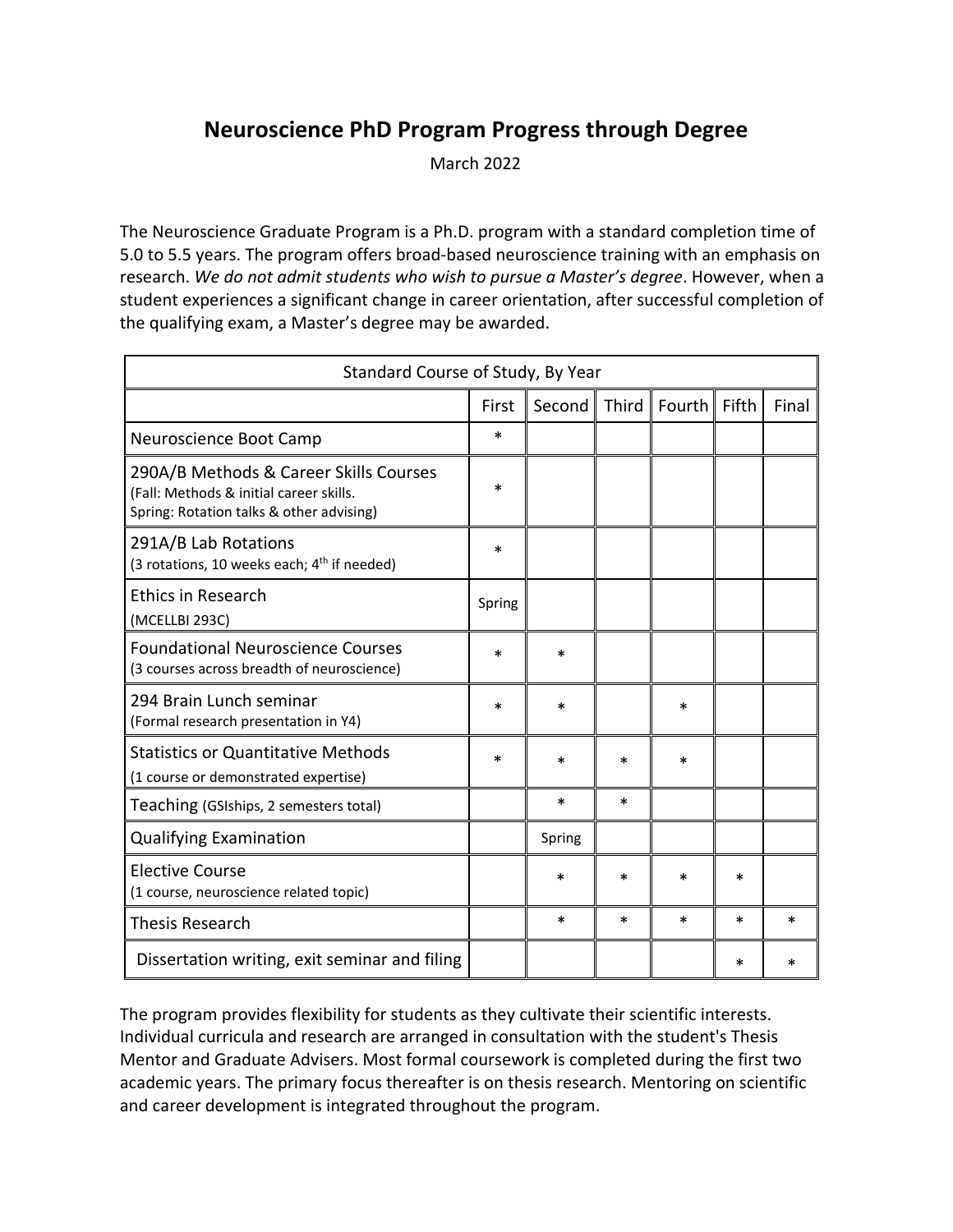## **Neuroscience PhD Program Progress through Degree**

March 2022

The Neuroscience Graduate Program is a Ph.D. program with a standard completion time of 5.0 to 5.5 years. The program offers broad-based neuroscience training with an emphasis on research. *We do not admit students who wish to pursue a Master's degree*. However, when a student experiences a significant change in career orientation, after successful completion of the qualifying exam, a Master's degree may be awarded.

| Standard Course of Study, By Year                                                                                             |        |        |       |        |       |       |
|-------------------------------------------------------------------------------------------------------------------------------|--------|--------|-------|--------|-------|-------|
|                                                                                                                               | First  | Second | Third | Fourth | Fifth | Final |
| Neuroscience Boot Camp                                                                                                        | *      |        |       |        |       |       |
| 290A/B Methods & Career Skills Courses<br>(Fall: Methods & initial career skills.<br>Spring: Rotation talks & other advising) | *      |        |       |        |       |       |
| 291A/B Lab Rotations<br>(3 rotations, 10 weeks each; 4 <sup>th</sup> if needed)                                               | *      |        |       |        |       |       |
| <b>Ethics in Research</b><br>(MCELLBI 293C)                                                                                   | Spring |        |       |        |       |       |
| <b>Foundational Neuroscience Courses</b><br>(3 courses across breadth of neuroscience)                                        | *      | *      |       |        |       |       |
| 294 Brain Lunch seminar<br>(Formal research presentation in Y4)                                                               | *      | *      |       | *      |       |       |
| <b>Statistics or Quantitative Methods</b><br>(1 course or demonstrated expertise)                                             | *      | *      | *     | *      |       |       |
| Teaching (GSIships, 2 semesters total)                                                                                        |        | *      | *     |        |       |       |
| <b>Qualifying Examination</b>                                                                                                 |        | Spring |       |        |       |       |
| <b>Elective Course</b><br>(1 course, neuroscience related topic)                                                              |        | *      | *     | *      | *     |       |
| <b>Thesis Research</b>                                                                                                        |        | *      | *     | *      | *     | *     |
| Dissertation writing, exit seminar and filing                                                                                 |        |        |       |        | *     | *     |

The program provides flexibility for students as they cultivate their scientific interests. Individual curricula and research are arranged in consultation with the student's Thesis Mentor and Graduate Advisers. Most formal coursework is completed during the first two academic years. The primary focus thereafter is on thesis research. Mentoring on scientific and career development is integrated throughout the program.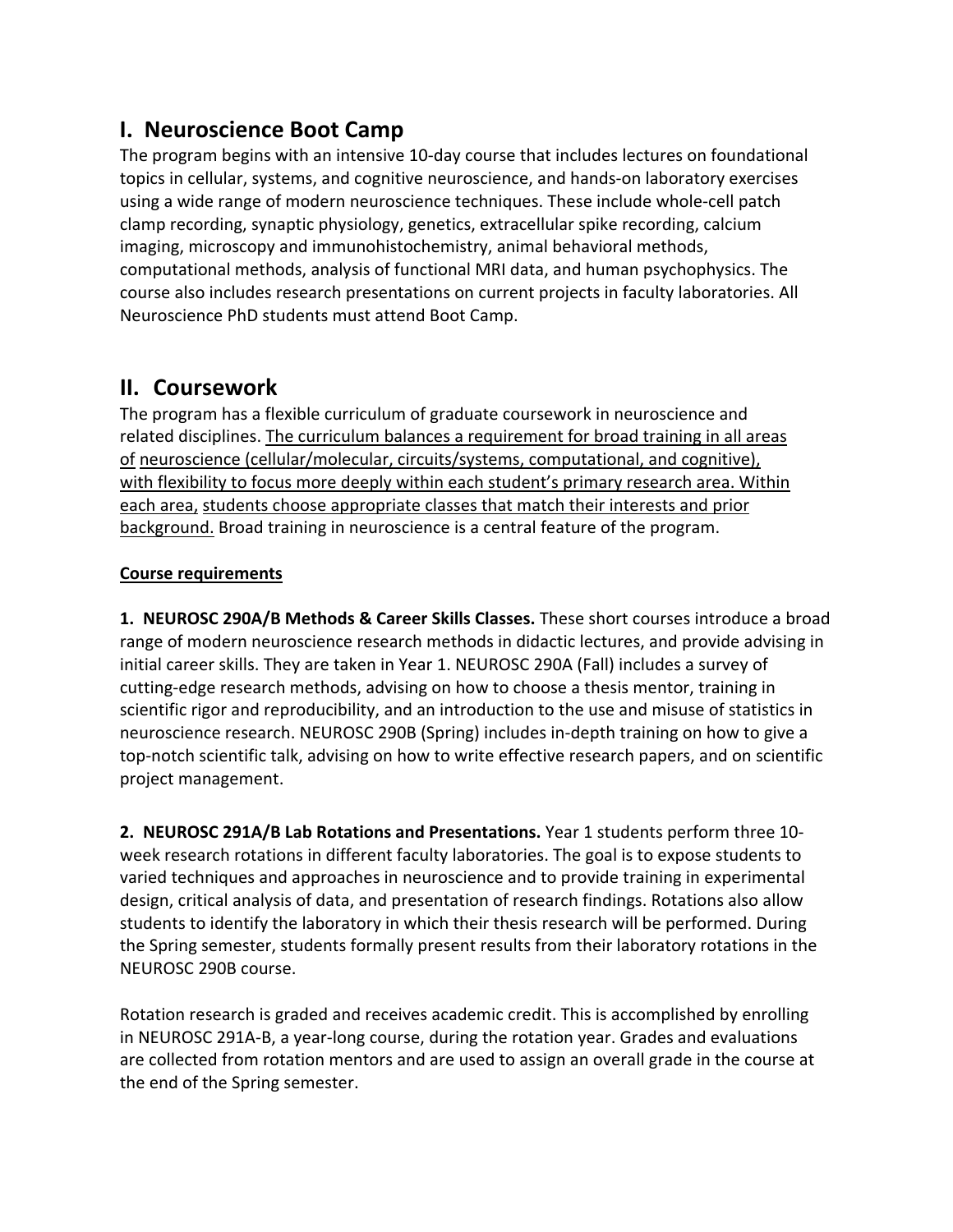## **I. Neuroscience Boot Camp**

The program begins with an intensive 10-day course that includes lectures on foundational topics in cellular, systems, and cognitive neuroscience, and hands-on laboratory exercises using a wide range of modern neuroscience techniques. These include whole-cell patch clamp recording, synaptic physiology, genetics, extracellular spike recording, calcium imaging, microscopy and immunohistochemistry, animal behavioral methods, computational methods, analysis of functional MRI data, and human psychophysics. The course also includes research presentations on current projects in faculty laboratories. All Neuroscience PhD students must attend Boot Camp.

#### **II. Coursework**

The program has a flexible curriculum of graduate coursework in neuroscience and related disciplines. The curriculum balances a requirement for broad training in all areas of neuroscience (cellular/molecular, circuits/systems, computational, and cognitive), with flexibility to focus more deeply within each student's primary research area. Within each area, students choose appropriate classes that match their interests and prior background. Broad training in neuroscience is a central feature of the program.

#### **Course requirements**

**1. NEUROSC 290A/B Methods & Career Skills Classes.** These short courses introduce a broad range of modern neuroscience research methods in didactic lectures, and provide advising in initial career skills. They are taken in Year 1. NEUROSC 290A (Fall) includes a survey of cutting-edge research methods, advising on how to choose a thesis mentor, training in scientific rigor and reproducibility, and an introduction to the use and misuse of statistics in neuroscience research. NEUROSC 290B (Spring) includes in-depth training on how to give a top-notch scientific talk, advising on how to write effective research papers, and on scientific project management.

**2. NEUROSC 291A/B Lab Rotations and Presentations.** Year 1 students perform three 10 week research rotations in different faculty laboratories. The goal is to expose students to varied techniques and approaches in neuroscience and to provide training in experimental design, critical analysis of data, and presentation of research findings. Rotations also allow students to identify the laboratory in which their thesis research will be performed. During the Spring semester, students formally present results from their laboratory rotations in the NEUROSC 290B course.

Rotation research is graded and receives academic credit. This is accomplished by enrolling in NEUROSC 291A-B, a year-long course, during the rotation year. Grades and evaluations are collected from rotation mentors and are used to assign an overall grade in the course at the end of the Spring semester.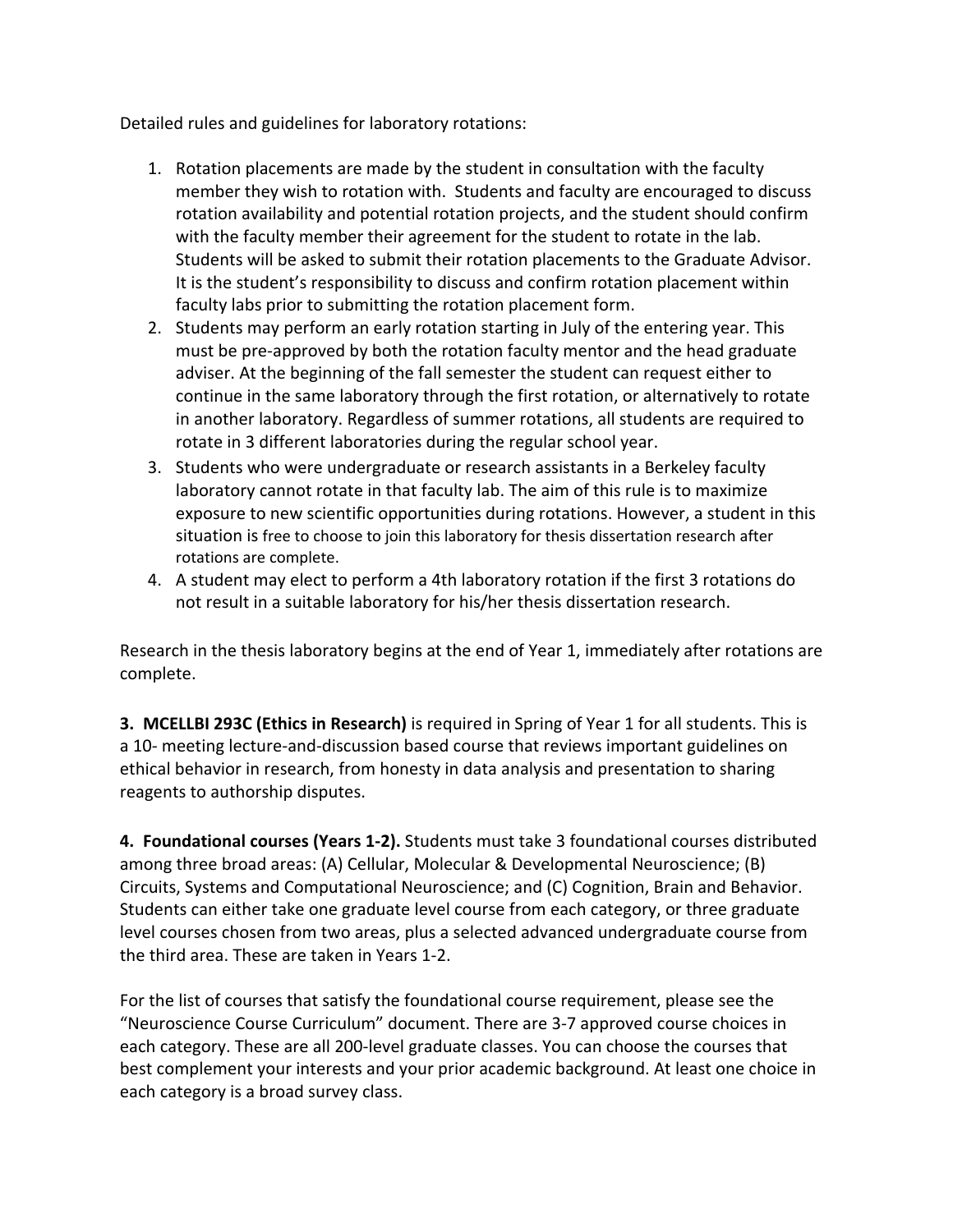Detailed rules and guidelines for laboratory rotations:

- 1. Rotation placements are made by the student in consultation with the faculty member they wish to rotation with. Students and faculty are encouraged to discuss rotation availability and potential rotation projects, and the student should confirm with the faculty member their agreement for the student to rotate in the lab. Students will be asked to submit their rotation placements to the Graduate Advisor. It is the student's responsibility to discuss and confirm rotation placement within faculty labs prior to submitting the rotation placement form.
- 2. Students may perform an early rotation starting in July of the entering year. This must be pre-approved by both the rotation faculty mentor and the head graduate adviser. At the beginning of the fall semester the student can request either to continue in the same laboratory through the first rotation, or alternatively to rotate in another laboratory. Regardless of summer rotations, all students are required to rotate in 3 different laboratories during the regular school year.
- 3. Students who were undergraduate or research assistants in a Berkeley faculty laboratory cannot rotate in that faculty lab. The aim of this rule is to maximize exposure to new scientific opportunities during rotations. However, a student in this situation is free to choose to join this laboratory for thesis dissertation research after rotations are complete.
- 4. A student may elect to perform a 4th laboratory rotation if the first 3 rotations do not result in a suitable laboratory for his/her thesis dissertation research.

Research in the thesis laboratory begins at the end of Year 1, immediately after rotations are complete.

**3. MCELLBI 293C (Ethics in Research)** is required in Spring of Year 1 for all students. This is a 10- meeting lecture-and-discussion based course that reviews important guidelines on ethical behavior in research, from honesty in data analysis and presentation to sharing reagents to authorship disputes.

**4. Foundational courses (Years 1-2).** Students must take 3 foundational courses distributed among three broad areas: (A) Cellular, Molecular & Developmental Neuroscience; (B) Circuits, Systems and Computational Neuroscience; and (C) Cognition, Brain and Behavior. Students can either take one graduate level course from each category, or three graduate level courses chosen from two areas, plus a selected advanced undergraduate course from the third area. These are taken in Years 1-2.

For the list of courses that satisfy the foundational course requirement, please see the "Neuroscience Course Curriculum" document. There are 3-7 approved course choices in each category. These are all 200-level graduate classes. You can choose the courses that best complement your interests and your prior academic background. At least one choice in each category is a broad survey class.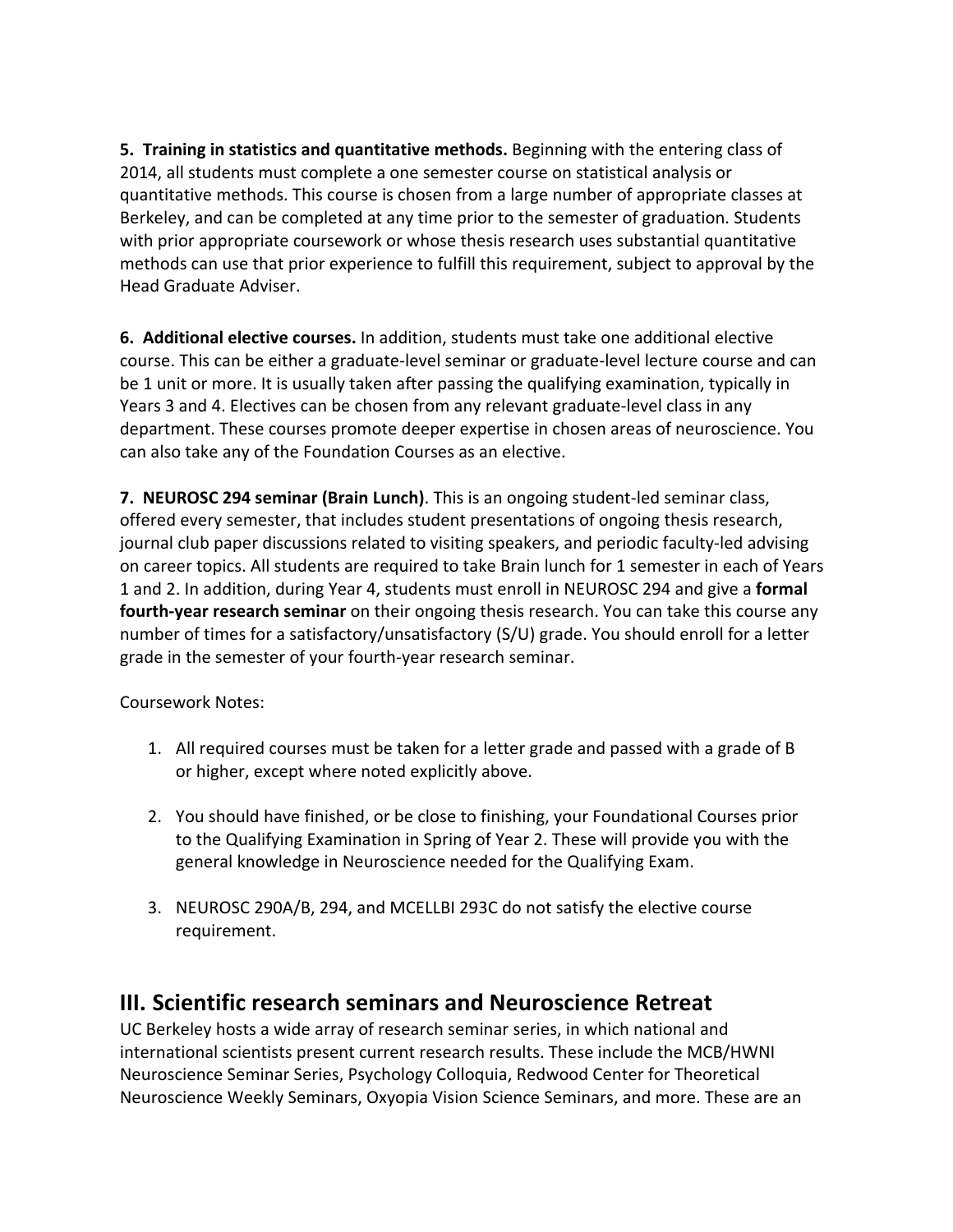**5. Training in statistics and quantitative methods.** Beginning with the entering class of 2014, all students must complete a one semester course on statistical analysis or quantitative methods. This course is chosen from a large number of appropriate classes at Berkeley, and can be completed at any time prior to the semester of graduation. Students with prior appropriate coursework or whose thesis research uses substantial quantitative methods can use that prior experience to fulfill this requirement, subject to approval by the Head Graduate Adviser.

**6. Additional elective courses.** In addition, students must take one additional elective course. This can be either a graduate-level seminar or graduate-level lecture course and can be 1 unit or more. It is usually taken after passing the qualifying examination, typically in Years 3 and 4. Electives can be chosen from any relevant graduate-level class in any department. These courses promote deeper expertise in chosen areas of neuroscience. You can also take any of the Foundation Courses as an elective.

**7. NEUROSC 294 seminar (Brain Lunch)**. This is an ongoing student-led seminar class, offered every semester, that includes student presentations of ongoing thesis research, journal club paper discussions related to visiting speakers, and periodic faculty-led advising on career topics. All students are required to take Brain lunch for 1 semester in each of Years 1 and 2. In addition, during Year 4, students must enroll in NEUROSC 294 and give a **formal fourth-year research seminar** on their ongoing thesis research. You can take this course any number of times for a satisfactory/unsatisfactory (S/U) grade. You should enroll for a letter grade in the semester of your fourth-year research seminar.

Coursework Notes:

- 1. All required courses must be taken for a letter grade and passed with a grade of B or higher, except where noted explicitly above.
- 2. You should have finished, or be close to finishing, your Foundational Courses prior to the Qualifying Examination in Spring of Year 2. These will provide you with the general knowledge in Neuroscience needed for the Qualifying Exam.
- 3. NEUROSC 290A/B, 294, and MCELLBI 293C do not satisfy the elective course requirement.

#### **III. Scientific research seminars and Neuroscience Retreat**

UC Berkeley hosts a wide array of research seminar series, in which national and international scientists present current research results. These include the MCB/HWNI Neuroscience Seminar Series, Psychology Colloquia, Redwood Center for Theoretical Neuroscience Weekly Seminars, Oxyopia Vision Science Seminars, and more. These are an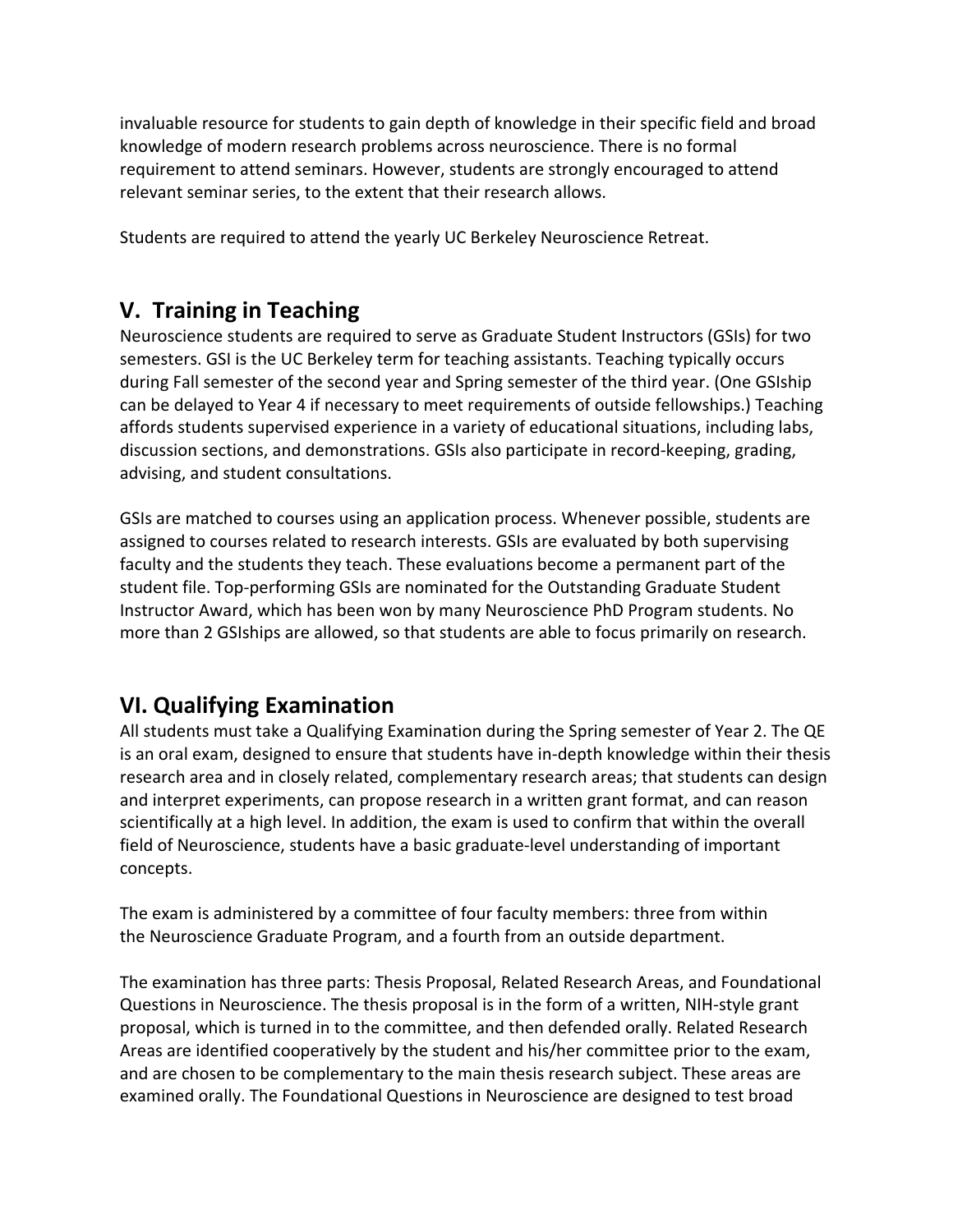invaluable resource for students to gain depth of knowledge in their specific field and broad knowledge of modern research problems across neuroscience. There is no formal requirement to attend seminars. However, students are strongly encouraged to attend relevant seminar series, to the extent that their research allows.

Students are required to attend the yearly UC Berkeley Neuroscience Retreat.

## **V. Training in Teaching**

Neuroscience students are required to serve as Graduate Student Instructors (GSIs) for two semesters. GSI is the UC Berkeley term for teaching assistants. Teaching typically occurs during Fall semester of the second year and Spring semester of the third year. (One GSIship can be delayed to Year 4 if necessary to meet requirements of outside fellowships.) Teaching affords students supervised experience in a variety of educational situations, including labs, discussion sections, and demonstrations. GSIs also participate in record-keeping, grading, advising, and student consultations.

GSIs are matched to courses using an application process. Whenever possible, students are assigned to courses related to research interests. GSIs are evaluated by both supervising faculty and the students they teach. These evaluations become a permanent part of the student file. Top-performing GSIs are nominated for the Outstanding Graduate Student Instructor Award, which has been won by many Neuroscience PhD Program students. No more than 2 GSIships are allowed, so that students are able to focus primarily on research.

## **VI. Qualifying Examination**

All students must take a Qualifying Examination during the Spring semester of Year 2. The QE is an oral exam, designed to ensure that students have in-depth knowledge within their thesis research area and in closely related, complementary research areas; that students can design and interpret experiments, can propose research in a written grant format, and can reason scientifically at a high level. In addition, the exam is used to confirm that within the overall field of Neuroscience, students have a basic graduate-level understanding of important concepts.

The exam is administered by a committee of four faculty members: three from within the Neuroscience Graduate Program, and a fourth from an outside department.

The examination has three parts: Thesis Proposal, Related Research Areas, and Foundational Questions in Neuroscience. The thesis proposal is in the form of a written, NIH-style grant proposal, which is turned in to the committee, and then defended orally. Related Research Areas are identified cooperatively by the student and his/her committee prior to the exam, and are chosen to be complementary to the main thesis research subject. These areas are examined orally. The Foundational Questions in Neuroscience are designed to test broad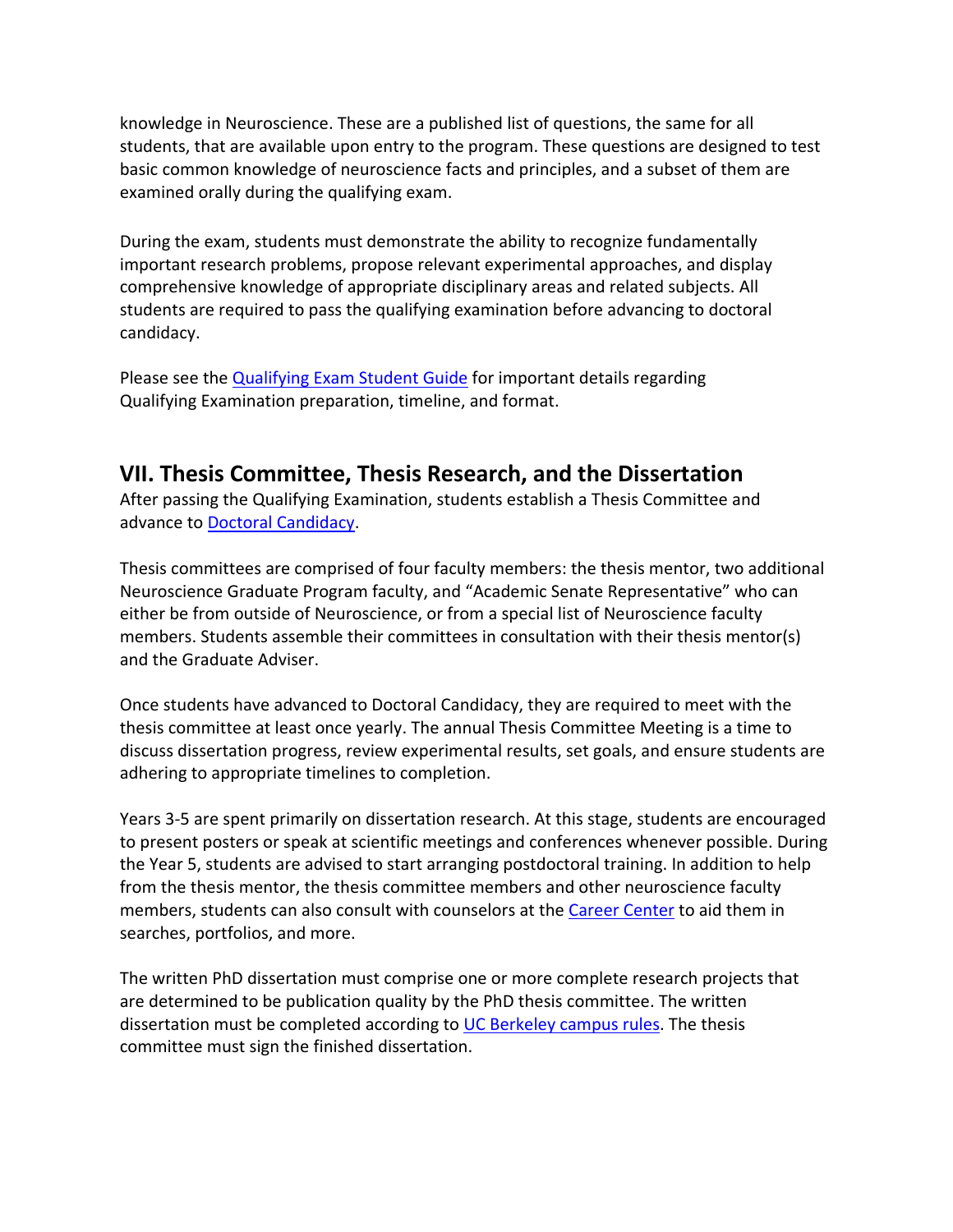knowledge in Neuroscience. These are a published list of questions, the same for all students, that are available upon entry to the program. These questions are designed to test basic common knowledge of neuroscience facts and principles, and a subset of them are examined orally during the qualifying exam.

During the exam, students must demonstrate the ability to recognize fundamentally important research problems, propose relevant experimental approaches, and display comprehensive knowledge of appropriate disciplinary areas and related subjects. All students are required to pass the qualifying examination before advancing to doctoral candidacy.

Please see the [Qualifying Exam](https://live-helen-wills-neuroscience-institute.pantheon.berkeley.edu/wp-content/uploads/2021/10/HWNI-QE-Student-Guide_October_2021.pdf) Student Guide for important details regarding Qualifying Examination preparation, timeline, and format.

## **VII. Thesis Committee, Thesis Research, and the Dissertation**

After passing the Qualifying Examination, students establish a Thesis Committee and advance to **Doctoral Candidacy**.

Thesis committees are comprised of four faculty members: the thesis mentor, two additional Neuroscience Graduate Program faculty, and "Academic Senate Representative" who can either be from outside of Neuroscience, or from a special list of Neuroscience faculty members. Students assemble their committees in consultation with their thesis mentor(s) and the Graduate Adviser.

Once students have advanced to Doctoral Candidacy, they are required to meet with the thesis committee at least once yearly. The annual Thesis Committee Meeting is a time to discuss dissertation progress, review experimental results, set goals, and ensure students are adhering to appropriate timelines to completion.

Years 3-5 are spent primarily on dissertation research. At this stage, students are encouraged to present posters or speak at scientific meetings and conferences whenever possible. During the Year 5, students are advised to start arranging postdoctoral training. In addition to help from the thesis mentor, the thesis committee members and other neuroscience faculty members, students can also consult with counselors at the [Career Center](http://career.berkeley.edu/PhDs/PhDs.stm) to aid them in searches, portfolios, and more.

The written PhD dissertation must comprise one or more complete research projects that are determined to be publication quality by the PhD thesis committee. The written dissertation must be completed according to [UC Berkeley campus rules.](https://grad.berkeley.edu/academic-progress/doctoral/dissertation/) The thesis committee must sign the finished dissertation.